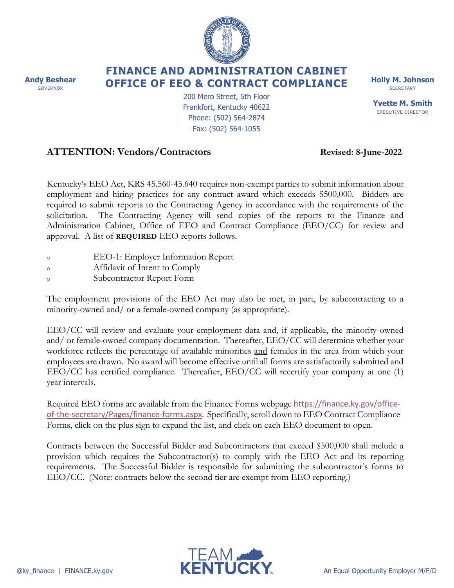**Andy Beshear** GOVERNOR

## **FINANCE AND ADMINISTRATION CABINET OFFICE OF EEO & CONTRACT COMPLIANCE**

200 Mero Street, 5th Floor Frankfort, Kentucky 40622 Phone: (502) 564-2874 Fax: (502) 564-1055

## **ATTENTION: Vendors/Contractors Revised: 8-June-2022**

Kentucky's EEO Act, KRS 45.560-45.640 requires non-exempt parties to submit information about employment and hiring practices for any contract award which exceeds \$500,000. Bidders are required to submit reports to the Contracting Agency in accordance with the requirements of the solicitation. The Contracting Agency will send copies of the reports to the Finance and Administration Cabinet, Office of EEO and Contract Compliance (EEO/CC) for review and approval. A list of **REQUIRED** EEO reports follows.

- <sup>o</sup> EEO-1: Employer Information Report
- <sup>o</sup> Affidavit of Intent to Comply
- <sup>o</sup> Subcontractor Report Form

The employment provisions of the EEO Act may also be met, in part, by subcontracting to a minority-owned and/ or a female-owned company (as appropriate).

EEO/CC will review and evaluate your employment data and, if applicable, the minority-owned and/ or female-owned company documentation. Thereafter, EEO/CC will determine whether your workforce reflects the percentage of available minorities and females in the area from which your employees are drawn. No award will become effective until all forms are satisfactorily submitted and EEO/CC has certified compliance. Thereafter, EEO/CC will recertify your company at one (1) year intervals.

Required EEO forms are available from the Finance Forms webpage [https://finance.ky.gov/office](https://finance.ky.gov/office-of-the-secretary/Pages/finance-forms.aspx)[of-the-secretary/Pages/finance-forms.aspx](https://finance.ky.gov/office-of-the-secretary/Pages/finance-forms.aspx). Specifically, scroll down to EEO Contract Compliance Forms, click on the plus sign to expand the list, and click on each EEO document to open.

Contracts between the Successful Bidder and Subcontractors that exceed \$500,000 shall include a provision which requires the Subcontractor(s) to comply with the EEO Act and its reporting requirements. The Successful Bidder is responsible for submitting the subcontractor's forms to EEO/CC. (Note: contracts below the second tier are exempt from EEO reporting.)





**SECRETARY Yvette M. Smith** EXECUTIVE DIRECTOR

**Holly M. Johnson**